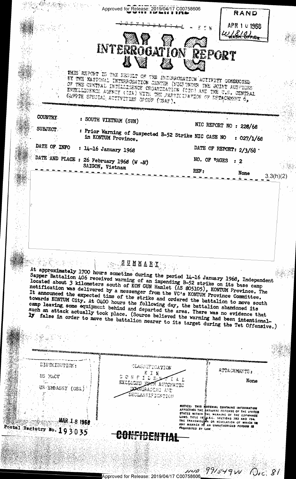Approved for Release: 2019/04/17 C00758606 RAND APR 1 U 1968 *1810)* INTERROGATION REPORT THIS EXPOST IS THE NEGLIST OF THE INTERACHATION ACTIVITY COMMOTELY ET AN MORAL INTERSERIES (NEW YORK THE GOINT AUFFEND 19 THE CENTRAL INTELLIGENCE CROANTZATION (CYCLASTIC THE TAS. CONTRAL MULLINGENCY (218) VIII WE ARTICLATED OF DECLORERY 6. CAPPIN SPECIAL ACTIVITIES NONE (TEAF). COUNTRY : SOUTH VIETNAM (SVN) NIC REPORT NO : 226/68 **SUBJECT** : Prior Warning of Suspected B-52 Strike NIC CASE NO in KONTUM Province.  $: 027/1/68$ DATE OF INFO DATE OF REPORT: 2/3/68 · : 14-16 January 1968 DATE AND PLACE : 26 February 1968 (W -N) NO. OF PAGES  $\therefore$  2 SAIGON, Vietnam REF: None  $3.3(h)(2)$ **SPEUMMARY** At approximately 1700 hours sometime during the period 14-16 January 1968, Independent Sapper Battalion 406 received warning of an impending B-52 strike on its base camp<br>located about 3 kilometers south of KON GUN Hamlet (AS 805105), KONTUM Province. The<br>notification was delivered by a messenger from the VC' It announced the expected time of the strike and ordered the battalion to move south towards KONTUM City. At 0400 hours the following day, the battalion abandoned its camp leaving some equipment behind and departed the area. There was no evidence that such an attack actually took place. (Source believed the warning had been intentionalfalse in order to move the battalion nearer to its target during the Tet Offensive.) DISTRIBUTION: **MASS PPICATION** ATTA CHEENING , US MACV TAL EXCLUDED BROWN AUTOPRTIO None US ENBASSY (OSA) <u>Magyardi</u> ay  $\mathbf{y}$ Pellascipioatión NOTICE: THIS NATERIAL CONTAINS INFORMATION<br>AFFECTING THE MATIONAL OFFENS OF THE UNITER<br>STATES WITHIN THE MEANING OF THE ESPIONAGE<br>LAWS. TITLE 1830LS.C. SECTIONS 793 AND 794.<br>THE TRANSMISSION OF REVELATION OF WHICH 18<br>ANY M MAR 1.8 1966 Postal Resistry No. 193035 **CONFIDENTIAL** 2000 991549W Doc 81

Approved for Release: 2019/04/17 C0075